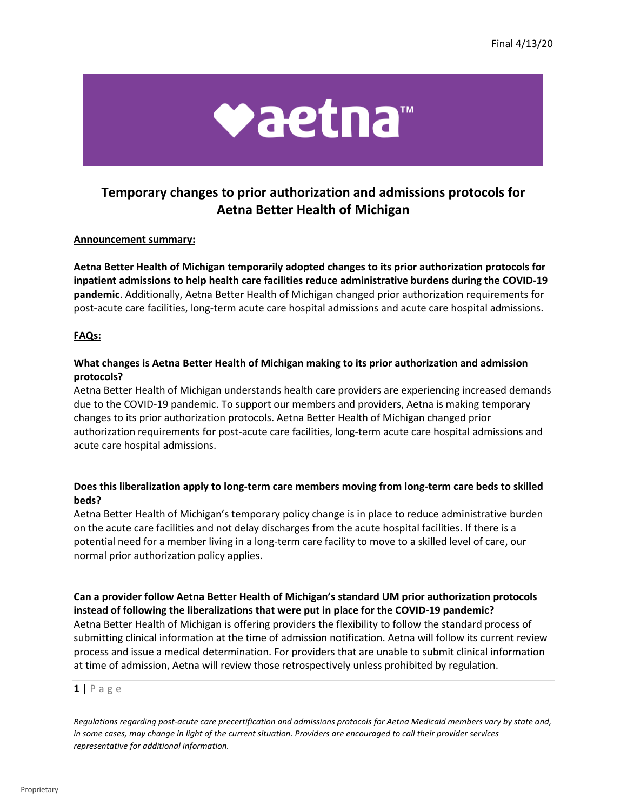

# **Aetna Better Health of Michigan Temporary changes to prior authorization and admissions protocols for**

## **Announcement summary:**

**Aetna Better Health of Michigan temporarily adopted changes to its prior authorization protocols for inpatient admissions to help health care facilities reduce administrative burdens during the COVID-19 pandemic**. Additionally, Aetna Better Health of Michigan changed prior authorization requirements for post-acute care facilities, long-term acute care hospital admissions and acute care hospital admissions.

## **FAQs:**

# **What changes is Aetna Better Health of Michigan making to its prior authorization and admission protocols?**

Aetna Better Health of Michigan understands health care providers are experiencing increased demands due to the COVID-19 pandemic. To support our members and providers, Aetna is making temporary changes to its prior authorization protocols. Aetna Better Health of Michigan changed prior authorization requirements for post-acute care facilities, long-term acute care hospital admissions and acute care hospital admissions.

# **Does this liberalization apply to long-term care members moving from long-term care beds to skilled beds?**

 normal prior authorization policy applies. Aetna Better Health of Michigan's temporary policy change is in place to reduce administrative burden on the acute care facilities and not delay discharges from the acute hospital facilities. If there is a potential need for a member living in a long-term care facility to move to a skilled level of care, our

**Can a provider follow Aetna Better Health of Michigan's standard UM prior authorization protocols instead of following the liberalizations that were put in place for the COVID-19 pandemic?**  Aetna Better Health of Michigan is offering providers the flexibility to follow the standard process of submitting clinical information at the time of admission notification. Aetna will follow its current review process and issue a medical determination. For providers that are unable to submit clinical information at time of admission, Aetna will review those retrospectively unless prohibited by regulation.

### **1 |** P a g e

*Regulations regarding post-acute care precertification and admissions protocols for Aetna Medicaid members vary by state and, in some cases, may change in light of the current situation. Providers are encouraged to call their provider services representative for additional information.*